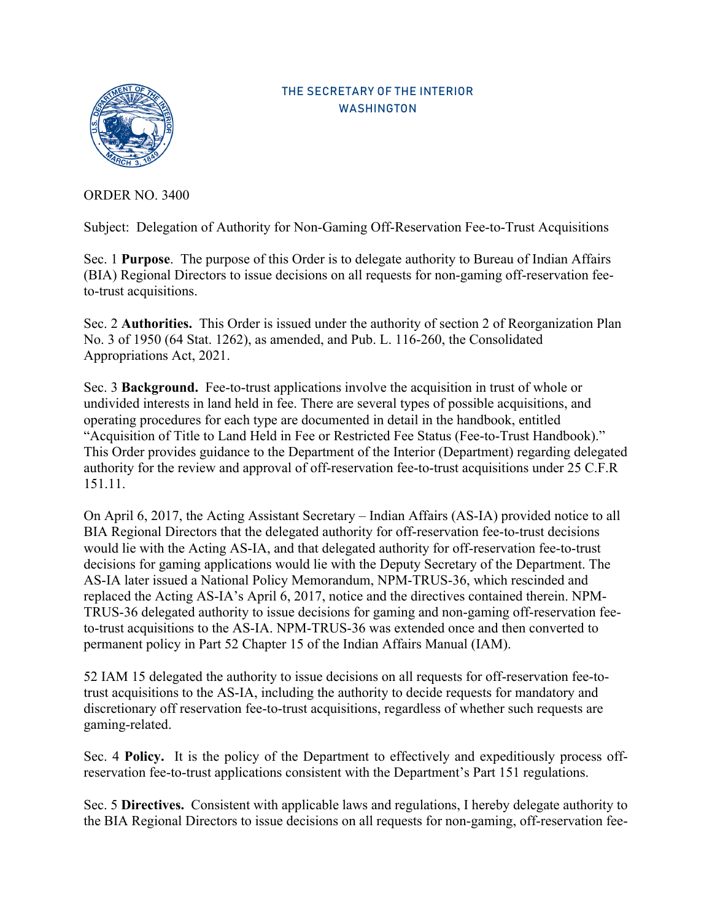

## THE SECRETARY OF THE INTERIOR WASHINGTON

ORDER NO. 3400

Subject: Delegation of Authority for Non-Gaming Off-Reservation Fee-to-Trust Acquisitions

 Sec. 1 **Purpose**. The purpose of this Order is to delegate authority to Bureau of Indian Affairs (BIA) Regional Directors to issue decisions on all requests for non-gaming off-reservation feeto-trust acquisitions.

Sec. 2 **Authorities.** This Order is issued under the authority of section 2 of Reorganization Plan No. 3 of 1950 (64 Stat. 1262), as amended, and Pub. L. 116-260, the Consolidated Appropriations Act, 2021.

Sec. 3 **Background.** Fee-to-trust applications involve the acquisition in trust of whole or undivided interests in land held in fee. There are several types of possible acquisitions, and operating procedures for each type are documented in detail in the handbook, entitled "Acquisition of Title to Land Held in Fee or Restricted Fee Status (Fee-to-Trust Handbook)." This Order provides guidance to the Department of the Interior (Department) regarding delegated authority for the review and approval of off-reservation fee-to-trust acquisitions under 25 C.F.R 151.11.

On April 6, 2017, the Acting Assistant Secretary – Indian Affairs (AS-IA) provided notice to all BIA Regional Directors that the delegated authority for off-reservation fee-to-trust decisions would lie with the Acting AS-IA, and that delegated authority for off-reservation fee-to-trust decisions for gaming applications would lie with the Deputy Secretary of the Department. The AS-IA later issued a National Policy Memorandum, NPM-TRUS-36, which rescinded and replaced the Acting AS-IA's April 6, 2017, notice and the directives contained therein. NPM-TRUS-36 delegated authority to issue decisions for gaming and non-gaming off-reservation feeto-trust acquisitions to the AS-IA. NPM-TRUS-36 was extended once and then converted to permanent policy in Part 52 Chapter 15 of the Indian Affairs Manual (IAM).

52 IAM 15 delegated the authority to issue decisions on all requests for off-reservation fee-totrust acquisitions to the AS-IA, including the authority to decide requests for mandatory and discretionary off reservation fee-to-trust acquisitions, regardless of whether such requests are gaming-related.

Sec. 4 **Policy.** It is the policy of the Department to effectively and expeditiously process offreservation fee-to-trust applications consistent with the Department's Part 151 regulations.

Sec. 5 **Directives.** Consistent with applicable laws and regulations, I hereby delegate authority to the BIA Regional Directors to issue decisions on all requests for non-gaming, off-reservation fee-